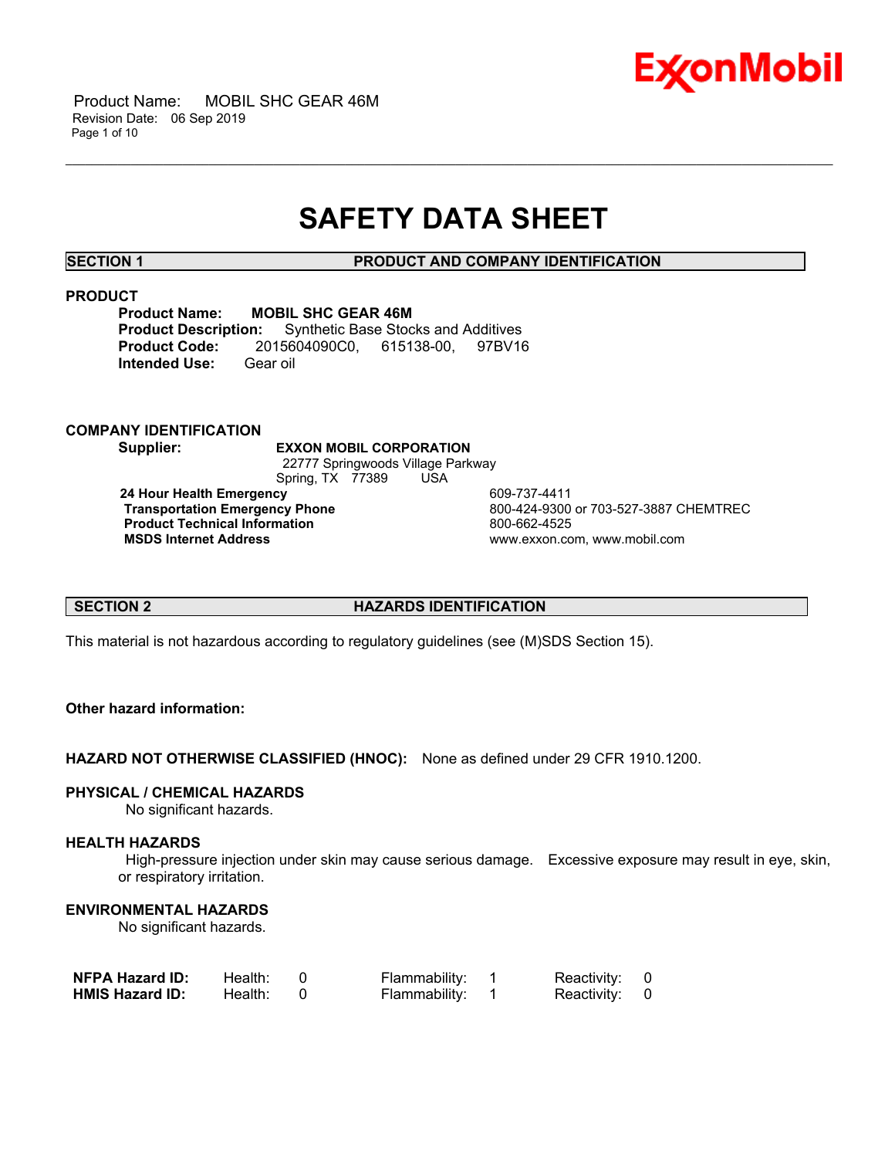

 Product Name: MOBIL SHC GEAR 46M Revision Date: 06 Sep 2019 Page 1 of 10

# **SAFETY DATA SHEET**

\_\_\_\_\_\_\_\_\_\_\_\_\_\_\_\_\_\_\_\_\_\_\_\_\_\_\_\_\_\_\_\_\_\_\_\_\_\_\_\_\_\_\_\_\_\_\_\_\_\_\_\_\_\_\_\_\_\_\_\_\_\_\_\_\_\_\_\_\_\_\_\_\_\_\_\_\_\_\_\_\_\_\_\_\_\_\_\_\_\_\_\_\_\_\_\_\_\_\_\_\_\_\_\_\_\_\_\_\_\_\_\_\_\_\_\_\_\_

**SECTION 1 PRODUCT AND COMPANY IDENTIFICATION**

#### **PRODUCT**

**Product Name: MOBIL SHC GEAR 46M**<br>**Product Description:** Synthetic Base Stoc **Synthetic Base Stocks and Additives Product Code:** 2015604090C0, 615138-00, 97BV16 **Intended Use:** Gear oil

# **COMPANY IDENTIFICATION**

**Supplier: EXXON MOBIL CORPORATION** 22777 Springwoods Village Parkway Spring, TX 77389 USA **24 Hour Health Emergency 609-737-4411<br>Transportation Emergency Phone 600-424-9300** 

**Product Technical Information**<br> **MSDS Internet Address**<br> **MSDS Internet Address** 

 **Transportation Emergency Phone** 800-424-9300 or 703-527-3887 CHEMTREC  **MSDS Internet Address** www.exxon.com, www.mobil.com

# **SECTION 2 HAZARDS IDENTIFICATION**

This material is not hazardous according to regulatory guidelines (see (M)SDS Section 15).

# **Other hazard information:**

**HAZARD NOT OTHERWISE CLASSIFIED (HNOC):** None as defined under 29 CFR 1910.1200.

# **PHYSICAL / CHEMICAL HAZARDS**

No significant hazards.

# **HEALTH HAZARDS**

 High-pressure injection under skin may cause serious damage. Excessive exposure may result in eye, skin, or respiratory irritation.

# **ENVIRONMENTAL HAZARDS**

No significant hazards.

| <b>NFPA Hazard ID:</b> | Health: | Flammability: | Reactivity: 0 |  |
|------------------------|---------|---------------|---------------|--|
| <b>HMIS Hazard ID:</b> | Health: | Flammability: | Reactivity: 0 |  |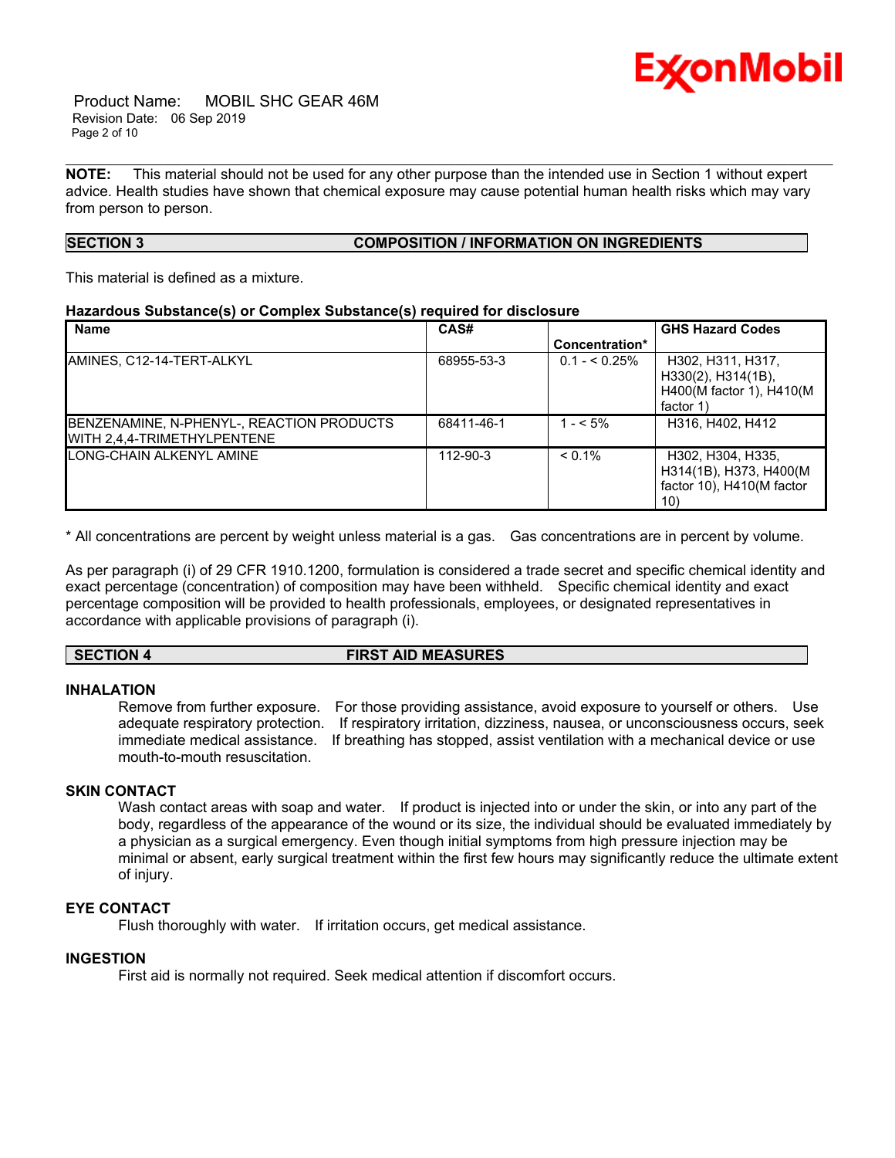

 Product Name: MOBIL SHC GEAR 46M Revision Date: 06 Sep 2019 Page 2 of 10

**NOTE:** This material should not be used for any other purpose than the intended use in Section 1 without expert advice. Health studies have shown that chemical exposure may cause potential human health risks which may vary from person to person.

\_\_\_\_\_\_\_\_\_\_\_\_\_\_\_\_\_\_\_\_\_\_\_\_\_\_\_\_\_\_\_\_\_\_\_\_\_\_\_\_\_\_\_\_\_\_\_\_\_\_\_\_\_\_\_\_\_\_\_\_\_\_\_\_\_\_\_\_\_\_\_\_\_\_\_\_\_\_\_\_\_\_\_\_\_\_\_\_\_\_\_\_\_\_\_\_\_\_\_\_\_\_\_\_\_\_\_\_\_\_\_\_\_\_\_\_\_\_

# **SECTION 3 COMPOSITION / INFORMATION ON INGREDIENTS**

This material is defined as a mixture.

# **Hazardous Substance(s) or Complex Substance(s) required for disclosure**

| <b>Name</b>                                                              | CAS#       |                | <b>GHS Hazard Codes</b>                                                                |
|--------------------------------------------------------------------------|------------|----------------|----------------------------------------------------------------------------------------|
|                                                                          |            | Concentration* |                                                                                        |
| AMINES, C12-14-TERT-ALKYL                                                | 68955-53-3 | $0.1 - 5.25\%$ | H302, H311, H317,<br>$H330(2)$ , $H314(1B)$ ,<br>H400(M factor 1), H410(M<br>factor 1) |
| BENZENAMINE, N-PHENYL-, REACTION PRODUCTS<br>WITH 2.4.4-TRIMETHYLPENTENE | 68411-46-1 | $1 - 5\%$      | H316, H402, H412                                                                       |
| LONG-CHAIN ALKENYL AMINE                                                 | 112-90-3   | $< 0.1\%$      | H302, H304, H335,<br>H314(1B), H373, H400(M)<br>factor 10), H410(M factor<br>10)       |

\* All concentrations are percent by weight unless material is a gas. Gas concentrations are in percent by volume.

As per paragraph (i) of 29 CFR 1910.1200, formulation is considered a trade secret and specific chemical identity and exact percentage (concentration) of composition may have been withheld. Specific chemical identity and exact percentage composition will be provided to health professionals, employees, or designated representatives in accordance with applicable provisions of paragraph (i).

# **SECTION 4 FIRST AID MEASURES**

#### **INHALATION**

Remove from further exposure. For those providing assistance, avoid exposure to yourself or others. Use adequate respiratory protection. If respiratory irritation, dizziness, nausea, or unconsciousness occurs, seek immediate medical assistance. If breathing has stopped, assist ventilation with a mechanical device or use mouth-to-mouth resuscitation.

# **SKIN CONTACT**

Wash contact areas with soap and water. If product is injected into or under the skin, or into any part of the body, regardless of the appearance of the wound or its size, the individual should be evaluated immediately by a physician as a surgical emergency. Even though initial symptoms from high pressure injection may be minimal or absent, early surgical treatment within the first few hours may significantly reduce the ultimate extent of injury.

# **EYE CONTACT**

Flush thoroughly with water. If irritation occurs, get medical assistance.

# **INGESTION**

First aid is normally not required. Seek medical attention if discomfort occurs.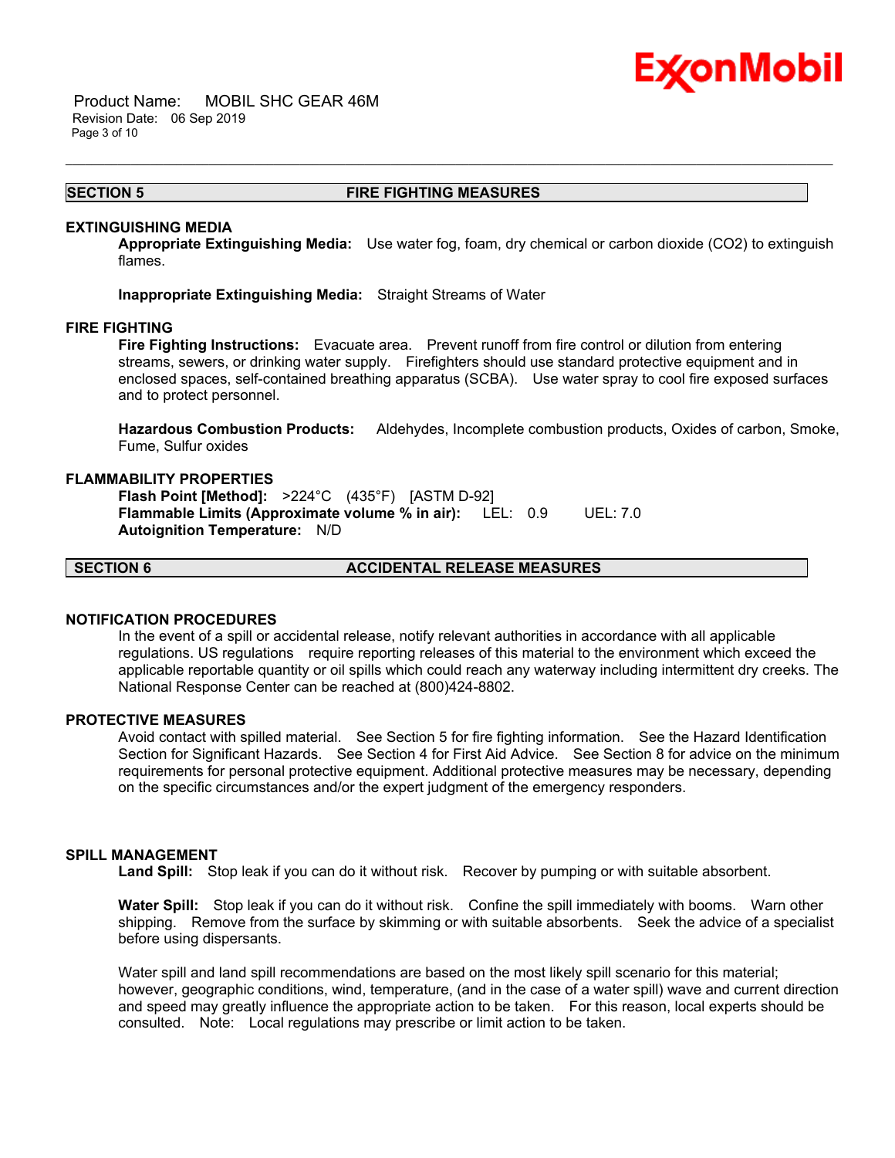

 Product Name: MOBIL SHC GEAR 46M Revision Date: 06 Sep 2019 Page 3 of 10

#### **SECTION 5 FIRE FIGHTING MEASURES**

\_\_\_\_\_\_\_\_\_\_\_\_\_\_\_\_\_\_\_\_\_\_\_\_\_\_\_\_\_\_\_\_\_\_\_\_\_\_\_\_\_\_\_\_\_\_\_\_\_\_\_\_\_\_\_\_\_\_\_\_\_\_\_\_\_\_\_\_\_\_\_\_\_\_\_\_\_\_\_\_\_\_\_\_\_\_\_\_\_\_\_\_\_\_\_\_\_\_\_\_\_\_\_\_\_\_\_\_\_\_\_\_\_\_\_\_\_\_

#### **EXTINGUISHING MEDIA**

**Appropriate Extinguishing Media:** Use water fog, foam, dry chemical or carbon dioxide (CO2) to extinguish flames.

**Inappropriate Extinguishing Media:** Straight Streams of Water

#### **FIRE FIGHTING**

**Fire Fighting Instructions:** Evacuate area. Prevent runoff from fire control or dilution from entering streams, sewers, or drinking water supply. Firefighters should use standard protective equipment and in enclosed spaces, self-contained breathing apparatus (SCBA). Use water spray to cool fire exposed surfaces and to protect personnel.

**Hazardous Combustion Products:** Aldehydes, Incomplete combustion products, Oxides of carbon, Smoke, Fume, Sulfur oxides

#### **FLAMMABILITY PROPERTIES**

**Flash Point [Method]:** >224°C (435°F) [ASTM D-92] **Flammable Limits (Approximate volume % in air):** LEL: 0.9 UEL: 7.0 **Autoignition Temperature:** N/D

**SECTION 6 ACCIDENTAL RELEASE MEASURES**

# **NOTIFICATION PROCEDURES**

In the event of a spill or accidental release, notify relevant authorities in accordance with all applicable regulations. US regulations require reporting releases of this material to the environment which exceed the applicable reportable quantity or oil spills which could reach any waterway including intermittent dry creeks. The National Response Center can be reached at (800)424-8802.

#### **PROTECTIVE MEASURES**

Avoid contact with spilled material. See Section 5 for fire fighting information. See the Hazard Identification Section for Significant Hazards. See Section 4 for First Aid Advice. See Section 8 for advice on the minimum requirements for personal protective equipment. Additional protective measures may be necessary, depending on the specific circumstances and/or the expert judgment of the emergency responders.

#### **SPILL MANAGEMENT**

Land Spill: Stop leak if you can do it without risk. Recover by pumping or with suitable absorbent.

**Water Spill:** Stop leak if you can do it without risk. Confine the spill immediately with booms. Warn other shipping. Remove from the surface by skimming or with suitable absorbents. Seek the advice of a specialist before using dispersants.

Water spill and land spill recommendations are based on the most likely spill scenario for this material; however, geographic conditions, wind, temperature, (and in the case of a water spill) wave and current direction and speed may greatly influence the appropriate action to be taken. For this reason, local experts should be consulted. Note: Local regulations may prescribe or limit action to be taken.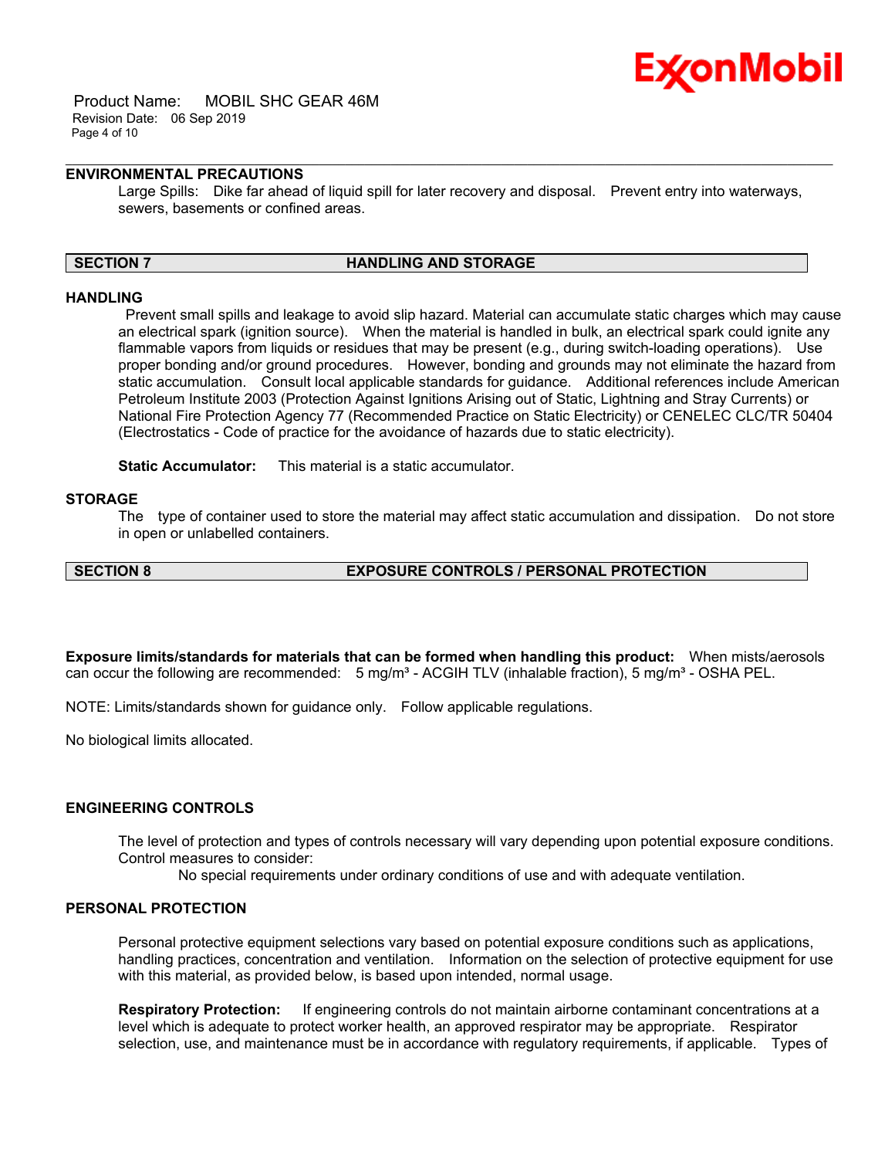

 Product Name: MOBIL SHC GEAR 46M Revision Date: 06 Sep 2019 Page 4 of 10

# **ENVIRONMENTAL PRECAUTIONS**

Large Spills: Dike far ahead of liquid spill for later recovery and disposal. Prevent entry into waterways, sewers, basements or confined areas.

\_\_\_\_\_\_\_\_\_\_\_\_\_\_\_\_\_\_\_\_\_\_\_\_\_\_\_\_\_\_\_\_\_\_\_\_\_\_\_\_\_\_\_\_\_\_\_\_\_\_\_\_\_\_\_\_\_\_\_\_\_\_\_\_\_\_\_\_\_\_\_\_\_\_\_\_\_\_\_\_\_\_\_\_\_\_\_\_\_\_\_\_\_\_\_\_\_\_\_\_\_\_\_\_\_\_\_\_\_\_\_\_\_\_\_\_\_\_

#### **SECTION 7 HANDLING AND STORAGE**

#### **HANDLING**

 Prevent small spills and leakage to avoid slip hazard. Material can accumulate static charges which may cause an electrical spark (ignition source). When the material is handled in bulk, an electrical spark could ignite any flammable vapors from liquids or residues that may be present (e.g., during switch-loading operations). Use proper bonding and/or ground procedures. However, bonding and grounds may not eliminate the hazard from static accumulation. Consult local applicable standards for guidance. Additional references include American Petroleum Institute 2003 (Protection Against Ignitions Arising out of Static, Lightning and Stray Currents) or National Fire Protection Agency 77 (Recommended Practice on Static Electricity) or CENELEC CLC/TR 50404 (Electrostatics - Code of practice for the avoidance of hazards due to static electricity).

**Static Accumulator:** This material is a static accumulator.

# **STORAGE**

The type of container used to store the material may affect static accumulation and dissipation. Do not store in open or unlabelled containers.

# **SECTION 8 EXPOSURE CONTROLS / PERSONAL PROTECTION**

**Exposure limits/standards for materials that can be formed when handling this product:** When mists/aerosols can occur the following are recommended:  $5 \text{ mg/m}^3$  - ACGIH TLV (inhalable fraction),  $5 \text{ mg/m}^3$  - OSHA PEL.

NOTE: Limits/standards shown for guidance only. Follow applicable regulations.

No biological limits allocated.

# **ENGINEERING CONTROLS**

The level of protection and types of controls necessary will vary depending upon potential exposure conditions. Control measures to consider:

No special requirements under ordinary conditions of use and with adequate ventilation.

### **PERSONAL PROTECTION**

Personal protective equipment selections vary based on potential exposure conditions such as applications, handling practices, concentration and ventilation. Information on the selection of protective equipment for use with this material, as provided below, is based upon intended, normal usage.

**Respiratory Protection:** If engineering controls do not maintain airborne contaminant concentrations at a level which is adequate to protect worker health, an approved respirator may be appropriate. Respirator selection, use, and maintenance must be in accordance with regulatory requirements, if applicable. Types of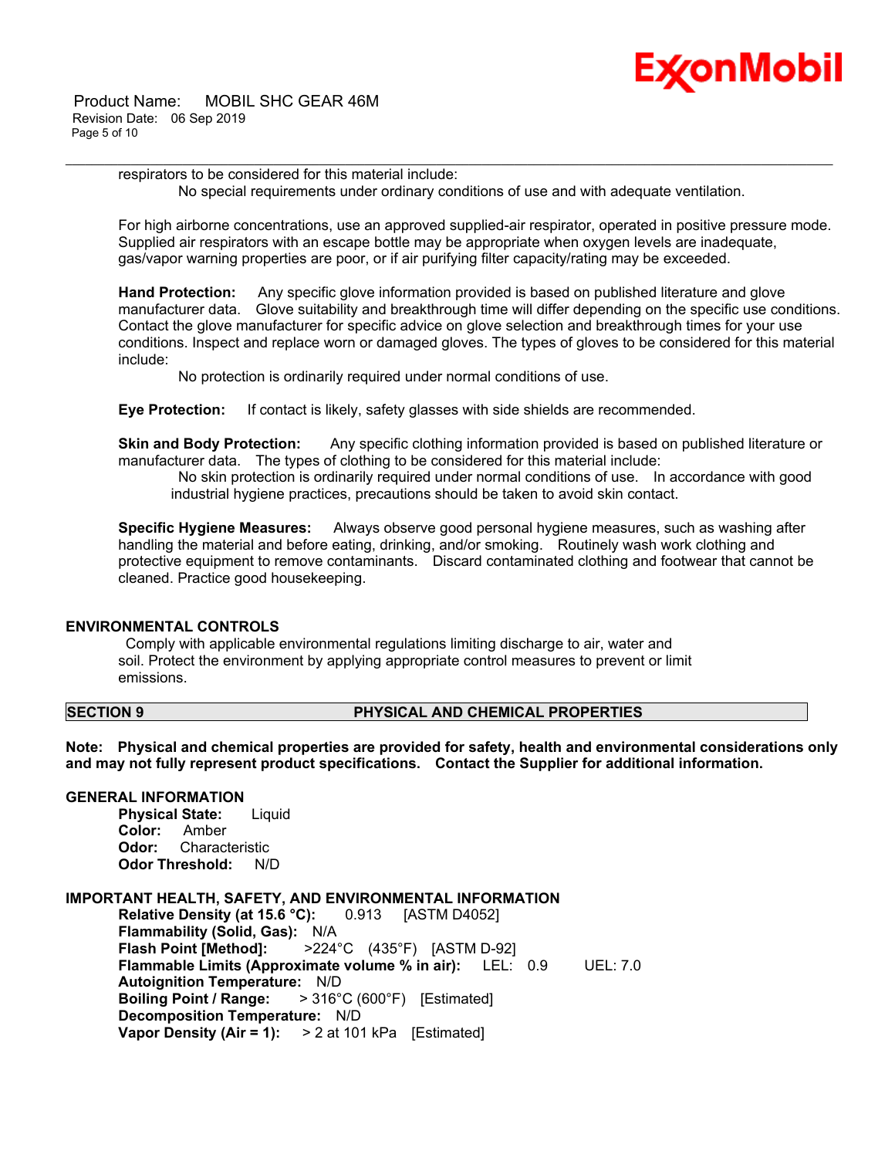

 Product Name: MOBIL SHC GEAR 46M Revision Date: 06 Sep 2019 Page 5 of 10

> respirators to be considered for this material include: No special requirements under ordinary conditions of use and with adequate ventilation.

\_\_\_\_\_\_\_\_\_\_\_\_\_\_\_\_\_\_\_\_\_\_\_\_\_\_\_\_\_\_\_\_\_\_\_\_\_\_\_\_\_\_\_\_\_\_\_\_\_\_\_\_\_\_\_\_\_\_\_\_\_\_\_\_\_\_\_\_\_\_\_\_\_\_\_\_\_\_\_\_\_\_\_\_\_\_\_\_\_\_\_\_\_\_\_\_\_\_\_\_\_\_\_\_\_\_\_\_\_\_\_\_\_\_\_\_\_\_

For high airborne concentrations, use an approved supplied-air respirator, operated in positive pressure mode. Supplied air respirators with an escape bottle may be appropriate when oxygen levels are inadequate, gas/vapor warning properties are poor, or if air purifying filter capacity/rating may be exceeded.

**Hand Protection:** Any specific glove information provided is based on published literature and glove manufacturer data. Glove suitability and breakthrough time will differ depending on the specific use conditions. Contact the glove manufacturer for specific advice on glove selection and breakthrough times for your use conditions. Inspect and replace worn or damaged gloves. The types of gloves to be considered for this material include:

No protection is ordinarily required under normal conditions of use.

**Eye Protection:** If contact is likely, safety glasses with side shields are recommended.

**Skin and Body Protection:** Any specific clothing information provided is based on published literature or manufacturer data. The types of clothing to be considered for this material include:

 No skin protection is ordinarily required under normal conditions of use. In accordance with good industrial hygiene practices, precautions should be taken to avoid skin contact.

**Specific Hygiene Measures:** Always observe good personal hygiene measures, such as washing after handling the material and before eating, drinking, and/or smoking. Routinely wash work clothing and protective equipment to remove contaminants. Discard contaminated clothing and footwear that cannot be cleaned. Practice good housekeeping.

# **ENVIRONMENTAL CONTROLS**

 Comply with applicable environmental regulations limiting discharge to air, water and soil. Protect the environment by applying appropriate control measures to prevent or limit emissions.

#### **SECTION 9 PHYSICAL AND CHEMICAL PROPERTIES**

**Note: Physical and chemical properties are provided for safety, health and environmental considerations only and may not fully represent product specifications. Contact the Supplier for additional information.**

# **GENERAL INFORMATION**

**Physical State:** Liquid **Color:** Amber **Odor:** Characteristic **Odor Threshold:** N/D

# **IMPORTANT HEALTH, SAFETY, AND ENVIRONMENTAL INFORMATION**

**Relative Density (at 15.6 °C):** 0.913 [ASTM D4052] **Flammability (Solid, Gas):** N/A **Flash Point [Method]:** >224°C (435°F) [ASTM D-92] **Flammable Limits (Approximate volume % in air):** LEL: 0.9 UEL: 7.0 **Autoignition Temperature:** N/D **Boiling Point / Range:** > 316°C (600°F) [Estimated] **Decomposition Temperature:** N/D **Vapor Density (Air = 1):** > 2 at 101 kPa [Estimated]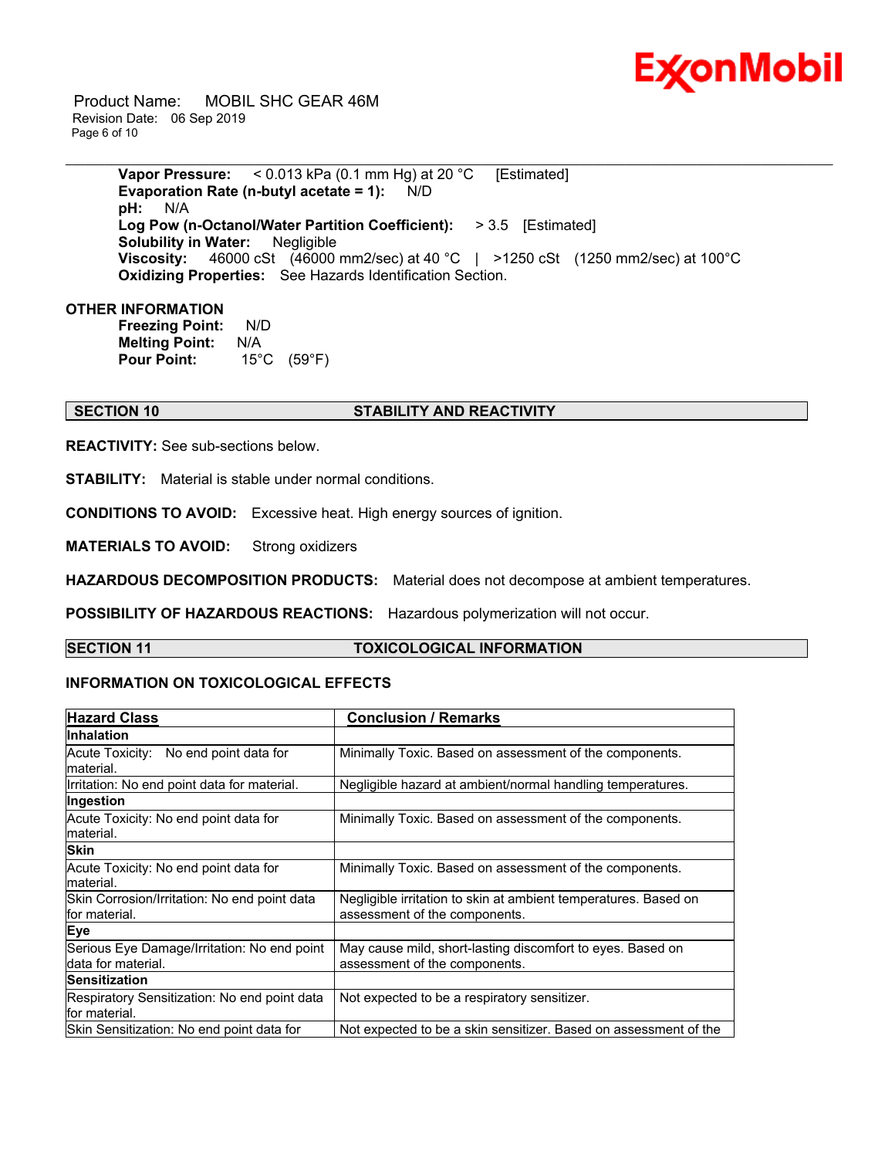

 Product Name: MOBIL SHC GEAR 46M Revision Date: 06 Sep 2019 Page 6 of 10

> **Vapor Pressure:** < 0.013 kPa (0.1 mm Hg) at 20 °C [Estimated] **Evaporation Rate (n-butyl acetate = 1):** N/D **pH:** N/A **Log Pow (n-Octanol/Water Partition Coefficient):** > 3.5 [Estimated] **Solubility in Water:** Negligible **Viscosity:** 46000 cSt (46000 mm2/sec) at 40 °C | >1250 cSt (1250 mm2/sec) at 100°C **Oxidizing Properties:** See Hazards Identification Section.

\_\_\_\_\_\_\_\_\_\_\_\_\_\_\_\_\_\_\_\_\_\_\_\_\_\_\_\_\_\_\_\_\_\_\_\_\_\_\_\_\_\_\_\_\_\_\_\_\_\_\_\_\_\_\_\_\_\_\_\_\_\_\_\_\_\_\_\_\_\_\_\_\_\_\_\_\_\_\_\_\_\_\_\_\_\_\_\_\_\_\_\_\_\_\_\_\_\_\_\_\_\_\_\_\_\_\_\_\_\_\_\_\_\_\_\_\_\_

#### **OTHER INFORMATION**

**Freezing Point:** N/D **Melting Point:** N/A **Pour Point:** 15°C (59°F)

# **SECTION 10 STABILITY AND REACTIVITY**

**REACTIVITY:** See sub-sections below.

**STABILITY:** Material is stable under normal conditions.

**CONDITIONS TO AVOID:** Excessive heat. High energy sources of ignition.

**MATERIALS TO AVOID:** Strong oxidizers

**HAZARDOUS DECOMPOSITION PRODUCTS:** Material does not decompose at ambient temperatures.

**POSSIBILITY OF HAZARDOUS REACTIONS:** Hazardous polymerization will not occur.

# **SECTION 11 TOXICOLOGICAL INFORMATION**

# **INFORMATION ON TOXICOLOGICAL EFFECTS**

| <b>Hazard Class</b>                                                | <b>Conclusion / Remarks</b>                                                                      |
|--------------------------------------------------------------------|--------------------------------------------------------------------------------------------------|
| <b>Inhalation</b>                                                  |                                                                                                  |
| Acute Toxicity: No end point data for<br>lmaterial.                | Minimally Toxic. Based on assessment of the components.                                          |
| Irritation: No end point data for material.                        | Negligible hazard at ambient/normal handling temperatures.                                       |
| Ingestion                                                          |                                                                                                  |
| Acute Toxicity: No end point data for<br>material.                 | Minimally Toxic. Based on assessment of the components.                                          |
| <b>Skin</b>                                                        |                                                                                                  |
| Acute Toxicity: No end point data for<br>lmaterial.                | Minimally Toxic. Based on assessment of the components.                                          |
| Skin Corrosion/Irritation: No end point data<br>lfor material.     | Negligible irritation to skin at ambient temperatures. Based on<br>assessment of the components. |
| Eye                                                                |                                                                                                  |
| Serious Eye Damage/Irritation: No end point<br>ldata for material. | May cause mild, short-lasting discomfort to eyes. Based on<br>assessment of the components.      |
| <b>Sensitization</b>                                               |                                                                                                  |
| Respiratory Sensitization: No end point data<br>lfor material.     | Not expected to be a respiratory sensitizer.                                                     |
| Skin Sensitization: No end point data for                          | Not expected to be a skin sensitizer. Based on assessment of the                                 |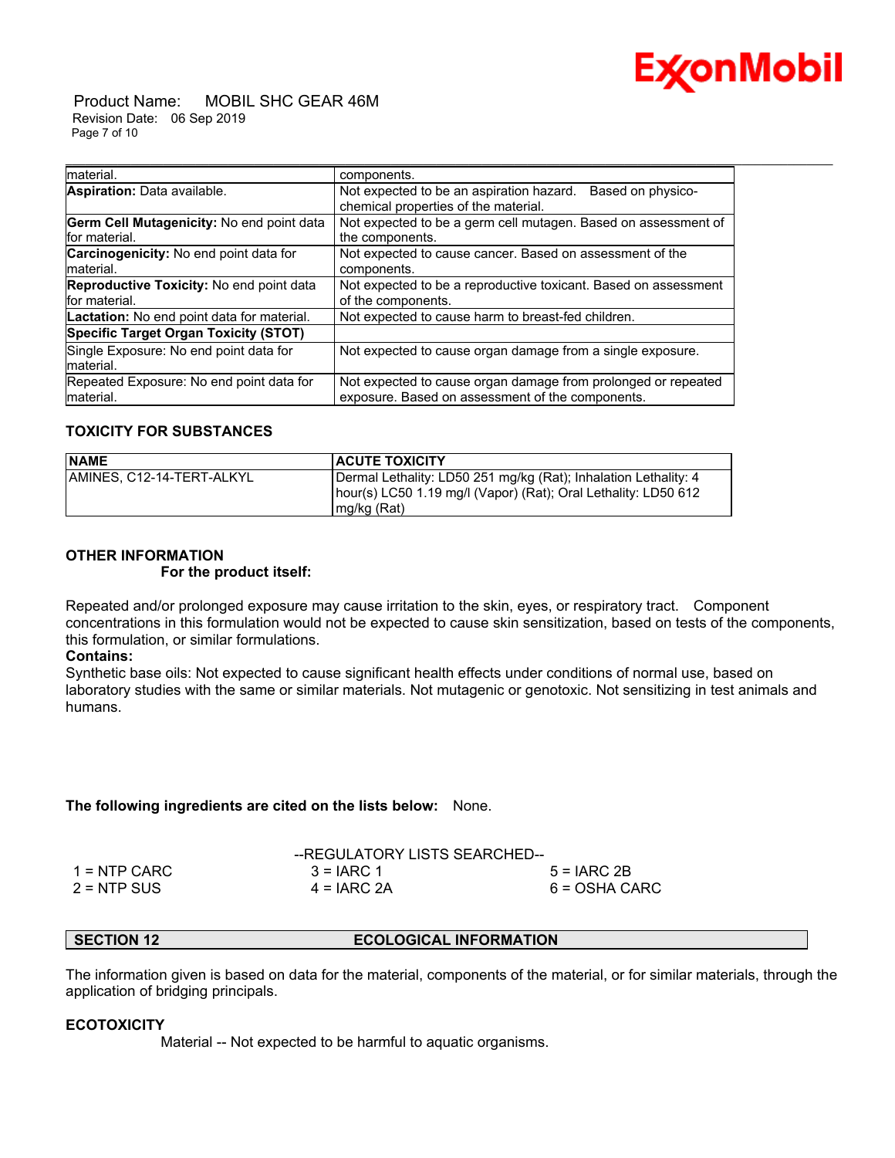

 Product Name: MOBIL SHC GEAR 46M Revision Date: 06 Sep 2019 Page 7 of 10

| material.                                  | components.                                                     |
|--------------------------------------------|-----------------------------------------------------------------|
| Aspiration: Data available.                | Not expected to be an aspiration hazard.<br>Based on physico-   |
|                                            | chemical properties of the material.                            |
| Germ Cell Mutagenicity: No end point data  | Not expected to be a germ cell mutagen. Based on assessment of  |
| for material.                              | the components.                                                 |
| Carcinogenicity: No end point data for     | Not expected to cause cancer. Based on assessment of the        |
| material.                                  | components.                                                     |
| Reproductive Toxicity: No end point data   | Not expected to be a reproductive toxicant. Based on assessment |
| for material.                              | of the components.                                              |
| Lactation: No end point data for material. | Not expected to cause harm to breast-fed children.              |
| Specific Target Organ Toxicity (STOT)      |                                                                 |
| Single Exposure: No end point data for     | Not expected to cause organ damage from a single exposure.      |
| material.                                  |                                                                 |
| Repeated Exposure: No end point data for   | Not expected to cause organ damage from prolonged or repeated   |
| Imaterial.                                 | exposure. Based on assessment of the components.                |

\_\_\_\_\_\_\_\_\_\_\_\_\_\_\_\_\_\_\_\_\_\_\_\_\_\_\_\_\_\_\_\_\_\_\_\_\_\_\_\_\_\_\_\_\_\_\_\_\_\_\_\_\_\_\_\_\_\_\_\_\_\_\_\_\_\_\_\_\_\_\_\_\_\_\_\_\_\_\_\_\_\_\_\_\_\_\_\_\_\_\_\_\_\_\_\_\_\_\_\_\_\_\_\_\_\_\_\_\_\_\_\_\_\_\_\_\_\_

# **TOXICITY FOR SUBSTANCES**

| <b>NAME</b>                | <b>ACUTE TOXICITY</b>                                                                                                                            |
|----------------------------|--------------------------------------------------------------------------------------------------------------------------------------------------|
| IAMINES. C12-14-TERT-ALKYL | Dermal Lethality: LD50 251 mg/kg (Rat); Inhalation Lethality: 4<br>hour(s) LC50 1.19 mg/l (Vapor) (Rat); Oral Lethality: LD50 612<br>mg/kg (Rat) |

# **OTHER INFORMATION**

# **For the product itself:**

Repeated and/or prolonged exposure may cause irritation to the skin, eyes, or respiratory tract. Component concentrations in this formulation would not be expected to cause skin sensitization, based on tests of the components, this formulation, or similar formulations.

#### **Contains:**

Synthetic base oils: Not expected to cause significant health effects under conditions of normal use, based on laboratory studies with the same or similar materials. Not mutagenic or genotoxic. Not sensitizing in test animals and humans.

#### **The following ingredients are cited on the lists below:** None.

|               | --REGULATORY LISTS SEARCHED-- |               |
|---------------|-------------------------------|---------------|
| 1 = NTP CARC  | $3 = IARC 1$                  | $5 = IARC2B$  |
| $2 = NTP$ SUS | $4 = IARC 2A$                 | 6 = OSHA CARC |

# **SECTION 12 ECOLOGICAL INFORMATION**

The information given is based on data for the material, components of the material, or for similar materials, through the application of bridging principals.

# **ECOTOXICITY**

Material -- Not expected to be harmful to aquatic organisms.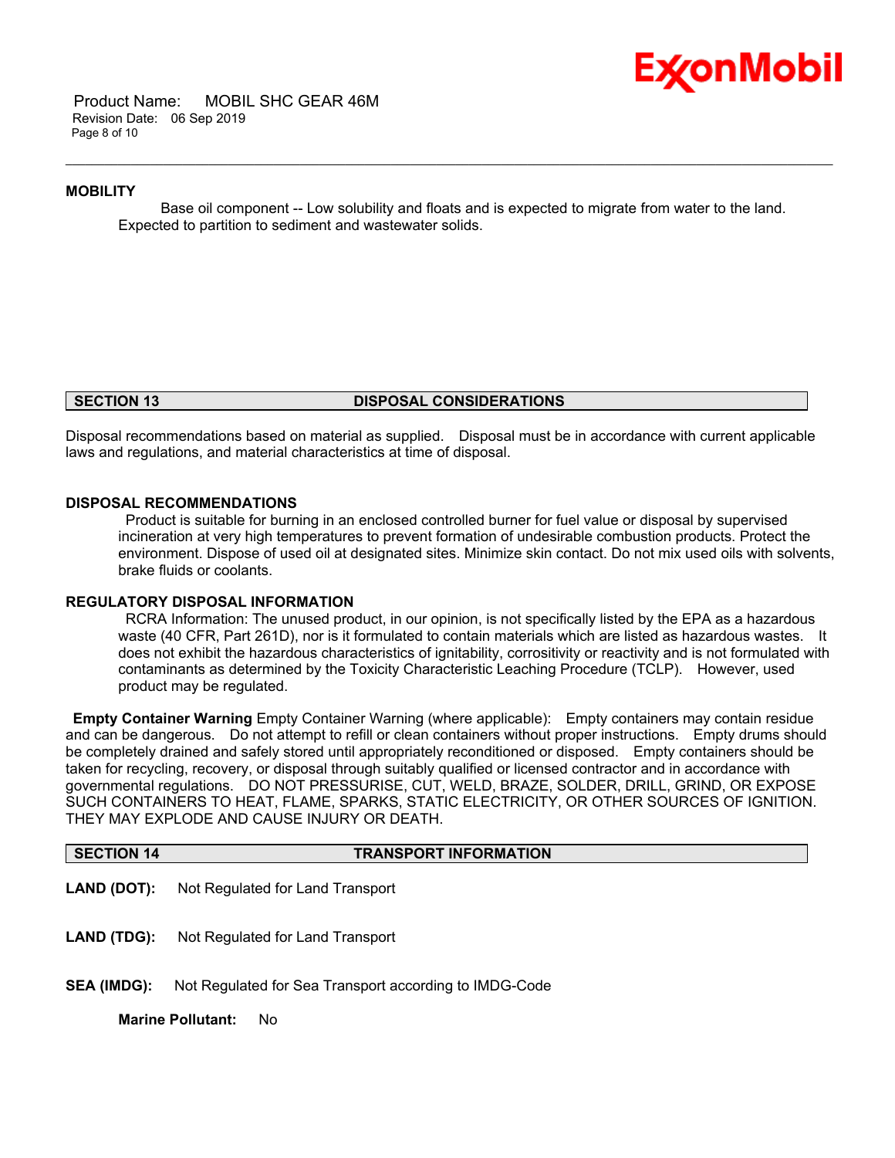

 Product Name: MOBIL SHC GEAR 46M Revision Date: 06 Sep 2019 Page 8 of 10

#### **MOBILITY**

 Base oil component -- Low solubility and floats and is expected to migrate from water to the land. Expected to partition to sediment and wastewater solids.

\_\_\_\_\_\_\_\_\_\_\_\_\_\_\_\_\_\_\_\_\_\_\_\_\_\_\_\_\_\_\_\_\_\_\_\_\_\_\_\_\_\_\_\_\_\_\_\_\_\_\_\_\_\_\_\_\_\_\_\_\_\_\_\_\_\_\_\_\_\_\_\_\_\_\_\_\_\_\_\_\_\_\_\_\_\_\_\_\_\_\_\_\_\_\_\_\_\_\_\_\_\_\_\_\_\_\_\_\_\_\_\_\_\_\_\_\_\_

#### **SECTION 13 DISPOSAL CONSIDERATIONS**

Disposal recommendations based on material as supplied. Disposal must be in accordance with current applicable laws and regulations, and material characteristics at time of disposal.

#### **DISPOSAL RECOMMENDATIONS**

 Product is suitable for burning in an enclosed controlled burner for fuel value or disposal by supervised incineration at very high temperatures to prevent formation of undesirable combustion products. Protect the environment. Dispose of used oil at designated sites. Minimize skin contact. Do not mix used oils with solvents, brake fluids or coolants.

#### **REGULATORY DISPOSAL INFORMATION**

 RCRA Information: The unused product, in our opinion, is not specifically listed by the EPA as a hazardous waste (40 CFR, Part 261D), nor is it formulated to contain materials which are listed as hazardous wastes. It does not exhibit the hazardous characteristics of ignitability, corrositivity or reactivity and is not formulated with contaminants as determined by the Toxicity Characteristic Leaching Procedure (TCLP). However, used product may be regulated.

**Empty Container Warning** Empty Container Warning (where applicable): Empty containers may contain residue and can be dangerous. Do not attempt to refill or clean containers without proper instructions. Empty drums should be completely drained and safely stored until appropriately reconditioned or disposed. Empty containers should be taken for recycling, recovery, or disposal through suitably qualified or licensed contractor and in accordance with governmental regulations. DO NOT PRESSURISE, CUT, WELD, BRAZE, SOLDER, DRILL, GRIND, OR EXPOSE SUCH CONTAINERS TO HEAT, FLAME, SPARKS, STATIC ELECTRICITY, OR OTHER SOURCES OF IGNITION. THEY MAY EXPLODE AND CAUSE INJURY OR DEATH.

| <b>SECTION 14</b>  | <b>TRANSPORT INFORMATION</b>                           |
|--------------------|--------------------------------------------------------|
| <b>LAND (DOT):</b> | Not Regulated for Land Transport                       |
| <b>LAND (TDG):</b> | Not Regulated for Land Transport                       |
| <b>SEA (IMDG):</b> | Not Regulated for Sea Transport according to IMDG-Code |
|                    |                                                        |

**Marine Pollutant:** No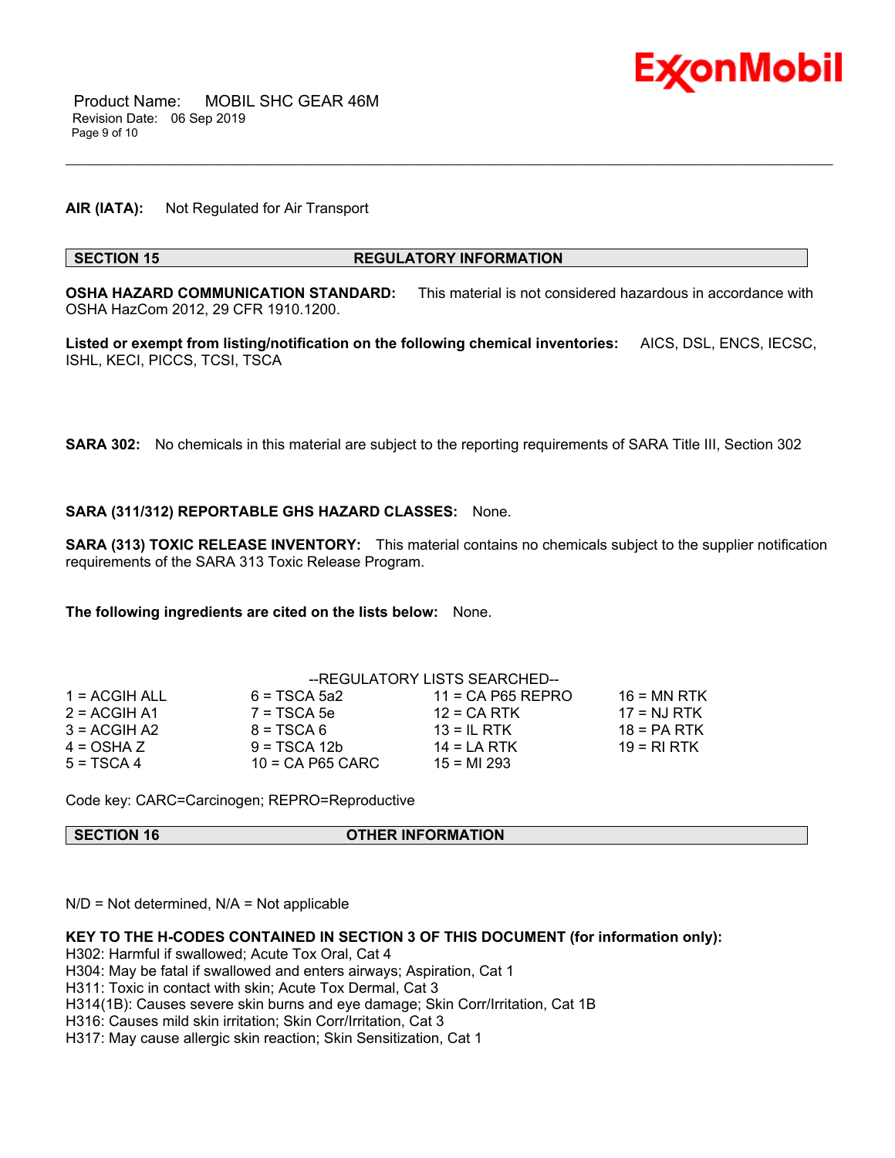

**AIR (IATA):** Not Regulated for Air Transport

#### **SECTION 15 REGULATORY INFORMATION**

**OSHA HAZARD COMMUNICATION STANDARD:** This material is not considered hazardous in accordance with OSHA HazCom 2012, 29 CFR 1910.1200.

\_\_\_\_\_\_\_\_\_\_\_\_\_\_\_\_\_\_\_\_\_\_\_\_\_\_\_\_\_\_\_\_\_\_\_\_\_\_\_\_\_\_\_\_\_\_\_\_\_\_\_\_\_\_\_\_\_\_\_\_\_\_\_\_\_\_\_\_\_\_\_\_\_\_\_\_\_\_\_\_\_\_\_\_\_\_\_\_\_\_\_\_\_\_\_\_\_\_\_\_\_\_\_\_\_\_\_\_\_\_\_\_\_\_\_\_\_\_

**Listed or exempt from listing/notification on the following chemical inventories:** AICS, DSL, ENCS, IECSC, ISHL, KECI, PICCS, TCSI, TSCA

**SARA 302:** No chemicals in this material are subject to the reporting requirements of SARA Title III, Section 302

#### **SARA (311/312) REPORTABLE GHS HAZARD CLASSES:** None.

**SARA (313) TOXIC RELEASE INVENTORY:** This material contains no chemicals subject to the supplier notification requirements of the SARA 313 Toxic Release Program.

**The following ingredients are cited on the lists below:** None.

|                 |                    | --REGULATORY LISTS SEARCHED-- |               |
|-----------------|--------------------|-------------------------------|---------------|
| $1 = ACGIH ALL$ | $6 = TSCA 5a2$     | $11 = CA$ P65 REPRO           | $16 = MN$ RTK |
| $2 = ACGIH A1$  | $7 = TSCA5e$       | $12 = CA RTK$                 | $17 = NJ RTK$ |
| $3 = ACGIH A2$  | $8 = TSCA6$        | $13 = IL$ RTK                 | $18 = PA RTK$ |
| 4 = OSHA Z      | $9 = TSCA 12b$     | $14 = LA RTK$                 | 19 = RI RTK   |
| $5 = TSCA4$     | $10 = CA$ P65 CARC | $15 = M1 293$                 |               |

Code key: CARC=Carcinogen; REPRO=Reproductive

| <b>SECTION 16</b> | <b>OTHER INFORMATION</b> |
|-------------------|--------------------------|
|                   |                          |

 $N/D$  = Not determined,  $N/A$  = Not applicable

#### **KEY TO THE H-CODES CONTAINED IN SECTION 3 OF THIS DOCUMENT (for information only):**

H302: Harmful if swallowed; Acute Tox Oral, Cat 4

H304: May be fatal if swallowed and enters airways; Aspiration, Cat 1

H311: Toxic in contact with skin; Acute Tox Dermal, Cat 3

H314(1B): Causes severe skin burns and eye damage; Skin Corr/Irritation, Cat 1B

H316: Causes mild skin irritation; Skin Corr/Irritation, Cat 3

H317: May cause allergic skin reaction; Skin Sensitization, Cat 1